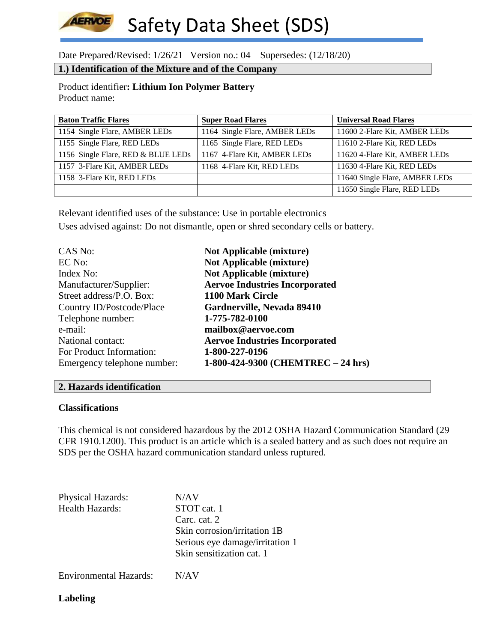## **AERVOE** Safety Data Sheet (SDS)

Date Prepared/Revised: 1/26/21 Version no.: 04 Supersedes: (12/18/20)

## **1.) Identification of the Mixture and of the Company**

Product identifier**: Lithium Ion Polymer Battery** Product name:

| <b>Baton Traffic Flares</b>        | <b>Super Road Flares</b>      | <b>Universal Road Flares</b>   |
|------------------------------------|-------------------------------|--------------------------------|
| 1154 Single Flare, AMBER LEDs      | 1164 Single Flare, AMBER LEDs | 11600 2-Flare Kit, AMBER LEDs  |
| 1155 Single Flare, RED LEDs        | 1165 Single Flare, RED LEDs   | 11610 2-Flare Kit, RED LEDs    |
| 1156 Single Flare, RED & BLUE LEDs | 1167 4-Flare Kit, AMBER LEDs  | 11620 4-Flare Kit, AMBER LEDs  |
| 1157 3-Flare Kit, AMBER LEDs       | 1168 4-Flare Kit, RED LEDs    | 11630 4-Flare Kit, RED LEDs    |
| 1158 3-Flare Kit, RED LEDs         |                               | 11640 Single Flare, AMBER LEDs |
|                                    |                               | 11650 Single Flare, RED LEDs   |

Relevant identified uses of the substance: Use in portable electronics Uses advised against: Do not dismantle, open or shred secondary cells or battery.

| CAS No:                     | <b>Not Applicable (mixture)</b>       |
|-----------------------------|---------------------------------------|
| EC No:                      | <b>Not Applicable (mixture)</b>       |
| Index No:                   | <b>Not Applicable (mixture)</b>       |
| Manufacturer/Supplier:      | <b>Aervoe Industries Incorporated</b> |
| Street address/P.O. Box:    | 1100 Mark Circle                      |
| Country ID/Postcode/Place   | Gardnerville, Nevada 89410            |
| Telephone number:           | 1-775-782-0100                        |
| e-mail:                     | mailbox@aervoe.com                    |
| National contact:           | <b>Aervoe Industries Incorporated</b> |
| For Product Information:    | 1-800-227-0196                        |
| Emergency telephone number: | 1-800-424-9300 (CHEMTREC $-$ 24 hrs)  |

## **2. Hazards identification**

## **Classifications**

This chemical is not considered hazardous by the 2012 OSHA Hazard Communication Standard (29 CFR 1910.1200). This product is an article which is a sealed battery and as such does not require an SDS per the OSHA hazard communication standard unless ruptured.

Physical Hazards: N/AV Health Hazards: STOT cat. 1 Carc. cat. 2 Skin corrosion/irritation 1B Serious eye damage/irritation 1 Skin sensitization cat. 1

Environmental Hazards: N/AV

**Labeling**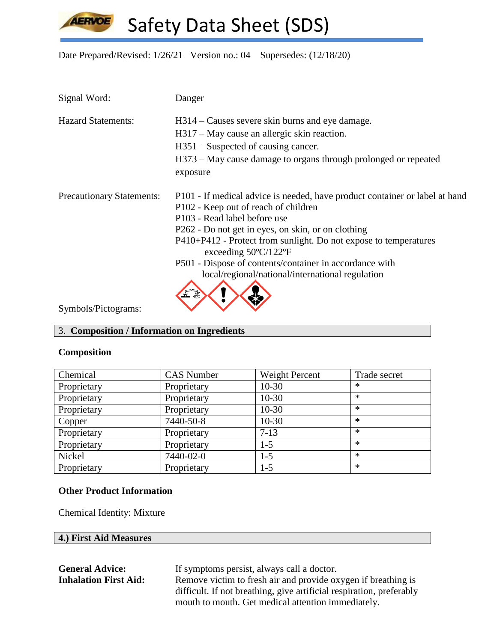**AERVOE** 

Safety Data Sheet (SDS)

Date Prepared/Revised: 1/26/21 Version no.: 04 Supersedes: (12/18/20)

| Signal Word:                     | Danger                                                                                             |
|----------------------------------|----------------------------------------------------------------------------------------------------|
| <b>Hazard Statements:</b>        | H314 – Causes severe skin burns and eye damage.                                                    |
|                                  | H317 – May cause an allergic skin reaction.                                                        |
|                                  | $H351$ – Suspected of causing cancer.                                                              |
|                                  | H373 – May cause damage to organs through prolonged or repeated                                    |
|                                  | exposure                                                                                           |
| <b>Precautionary Statements:</b> | P101 - If medical advice is needed, have product container or label at hand                        |
|                                  | P102 - Keep out of reach of children                                                               |
|                                  | P103 - Read label before use                                                                       |
|                                  | P262 - Do not get in eyes, on skin, or on clothing                                                 |
|                                  | P410+P412 - Protect from sunlight. Do not expose to temperatures<br>exceeding $50^{\circ}$ C/122°F |
|                                  | P501 - Dispose of contents/container in accordance with                                            |
|                                  | local/regional/national/international regulation                                                   |
|                                  |                                                                                                    |
| Symbols/Pictograms:              |                                                                                                    |

# 3. **Composition / Information on Ingredients**

## **Composition**

| Chemical    | <b>CAS</b> Number | Weight Percent | Trade secret |
|-------------|-------------------|----------------|--------------|
| Proprietary | Proprietary       | $10-30$        | $\ast$       |
| Proprietary | Proprietary       | $10 - 30$      | $\ast$       |
| Proprietary | Proprietary       | $10 - 30$      | $\ast$       |
| Copper      | 7440-50-8         | $10 - 30$      | $\ast$       |
| Proprietary | Proprietary       | $7 - 13$       | $\ast$       |
| Proprietary | Proprietary       | $1 - 5$        | $\ast$       |
| Nickel      | 7440-02-0         | $1 - 5$        | $\ast$       |
| Proprietary | Proprietary       | $1 - 5$        | $\ast$       |

## **Other Product Information**

Chemical Identity: Mixture

| <b>General Advice:</b>       | If symptoms persist, always call a doctor.                           |
|------------------------------|----------------------------------------------------------------------|
| <b>Inhalation First Aid:</b> | Remove victim to fresh air and provide oxygen if breathing is        |
|                              | difficult. If not breathing, give artificial respiration, preferably |
|                              | mouth to mouth. Get medical attention immediately.                   |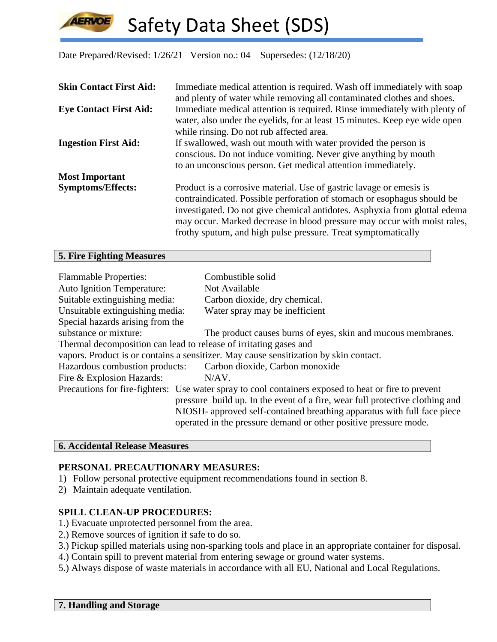## **LERVOE** Safety Data Sheet (SDS)

Date Prepared/Revised: 1/26/21 Version no.: 04 Supersedes: (12/18/20)

| <b>Skin Contact First Aid:</b> | Immediate medical attention is required. Wash off immediately with soap<br>and plenty of water while removing all contaminated clothes and shoes.                                                                                                                                                                                                                        |
|--------------------------------|--------------------------------------------------------------------------------------------------------------------------------------------------------------------------------------------------------------------------------------------------------------------------------------------------------------------------------------------------------------------------|
| <b>Eye Contact First Aid:</b>  | Immediate medical attention is required. Rinse immediately with plenty of<br>water, also under the eyelids, for at least 15 minutes. Keep eye wide open<br>while rinsing. Do not rub affected area.                                                                                                                                                                      |
| <b>Ingestion First Aid:</b>    | If swallowed, wash out mouth with water provided the person is<br>conscious. Do not induce vomiting. Never give anything by mouth<br>to an unconscious person. Get medical attention immediately.                                                                                                                                                                        |
| <b>Most Important</b>          |                                                                                                                                                                                                                                                                                                                                                                          |
| <b>Symptoms/Effects:</b>       | Product is a corrosive material. Use of gastric lavage or emesis is<br>contraindicated. Possible perforation of stomach or esophagus should be<br>investigated. Do not give chemical antidotes. Asphyxia from glottal edema<br>may occur. Marked decrease in blood pressure may occur with moist rales,<br>frothy sputum, and high pulse pressure. Treat symptomatically |

## **5. Fire Fighting Measures**

| <b>Flammable Properties:</b><br><b>Auto Ignition Temperature:</b> | Combustible solid<br>Not Available                                                                                                                                                                                                                                                                                                  |
|-------------------------------------------------------------------|-------------------------------------------------------------------------------------------------------------------------------------------------------------------------------------------------------------------------------------------------------------------------------------------------------------------------------------|
| Suitable extinguishing media:                                     | Carbon dioxide, dry chemical.                                                                                                                                                                                                                                                                                                       |
| Unsuitable extinguishing media:                                   | Water spray may be inefficient                                                                                                                                                                                                                                                                                                      |
| Special hazards arising from the                                  |                                                                                                                                                                                                                                                                                                                                     |
| substance or mixture:                                             | The product causes burns of eyes, skin and mucous membranes.                                                                                                                                                                                                                                                                        |
| Thermal decomposition can lead to release of irritating gases and |                                                                                                                                                                                                                                                                                                                                     |
|                                                                   | vapors. Product is or contains a sensitizer. May cause sensitization by skin contact.                                                                                                                                                                                                                                               |
| Hazardous combustion products:                                    | Carbon dioxide, Carbon monoxide                                                                                                                                                                                                                                                                                                     |
| Fire & Explosion Hazards:                                         | N/AV.                                                                                                                                                                                                                                                                                                                               |
|                                                                   | Precautions for fire-fighters: Use water spray to cool containers exposed to heat or fire to prevent<br>pressure build up. In the event of a fire, wear full protective clothing and<br>NIOSH- approved self-contained breathing apparatus with full face piece<br>operated in the pressure demand or other positive pressure mode. |

## **6. Accidental Release Measures**

## **PERSONAL PRECAUTIONARY MEASURES:**

- 1) Follow personal protective equipment recommendations found in section 8.
- 2) Maintain adequate ventilation.

## **SPILL CLEAN-UP PROCEDURES:**

- 1.) Evacuate unprotected personnel from the area.
- 2.) Remove sources of ignition if safe to do so.
- 3.) Pickup spilled materials using non-sparking tools and place in an appropriate container for disposal.
- 4.) Contain spill to prevent material from entering sewage or ground water systems.
- 5.) Always dispose of waste materials in accordance with all EU, National and Local Regulations.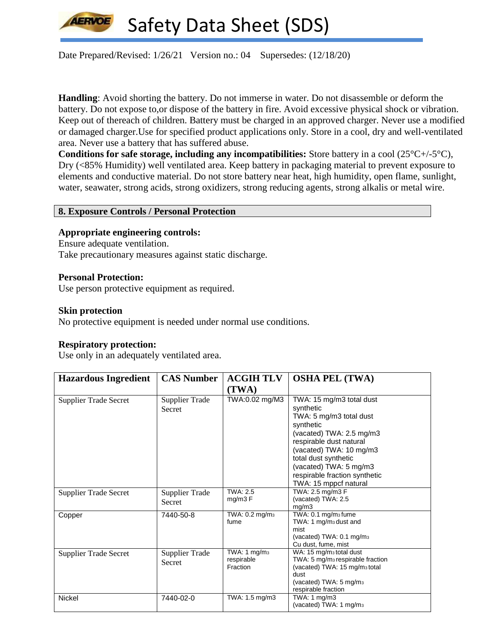

Date Prepared/Revised: 1/26/21 Version no.: 04 Supersedes: (12/18/20)

**Handling**: Avoid shorting the battery. Do not immerse in water. Do not disassemble or deform the battery. Do not expose to,or dispose of the battery in fire. Avoid excessive physical shock or vibration. Keep out of thereach of children. Battery must be charged in an approved charger. Never use a modified or damaged charger.Use for specified product applications only. Store in a cool, dry and well-ventilated area. Never use a battery that has suffered abuse.

**Conditions for safe storage, including any incompatibilities:** Store battery in a cool (25°C+/-5°C), Dry (<85% Humidity) well ventilated area. Keep battery in packaging material to prevent exposure to elements and conductive material. Do not store battery near heat, high humidity, open flame, sunlight, water, seawater, strong acids, strong oxidizers, strong reducing agents, strong alkalis or metal wire.

#### **8. Exposure Controls / Personal Protection**

#### **Appropriate engineering controls:**

Ensure adequate ventilation. Take precautionary measures against static discharge.

#### **Personal Protection:**

Use person protective equipment as required.

#### **Skin protection**

No protective equipment is needed under normal use conditions.

## **Respiratory protection:**

Use only in an adequately ventilated area.

| <b>Hazardous Ingredient</b>  | <b>CAS Number</b>                      | <b>ACGIH TLV</b>                            | <b>OSHA PEL (TWA)</b>                                                                                                                                                                                                                                                       |
|------------------------------|----------------------------------------|---------------------------------------------|-----------------------------------------------------------------------------------------------------------------------------------------------------------------------------------------------------------------------------------------------------------------------------|
|                              |                                        | (TWA)                                       |                                                                                                                                                                                                                                                                             |
| <b>Supplier Trade Secret</b> | Supplier Trade<br>Secret               | TWA:0.02 mg/M3                              | TWA: 15 mg/m3 total dust<br>synthetic<br>TWA: 5 mg/m3 total dust<br>synthetic<br>(vacated) TWA: 2.5 mg/m3<br>respirable dust natural<br>(vacated) TWA: 10 mg/m3<br>total dust synthetic<br>(vacated) TWA: 5 mg/m3<br>respirable fraction synthetic<br>TWA: 15 mppcf natural |
| <b>Supplier Trade Secret</b> | Supplier Trade<br>Secret               | <b>TWA: 2.5</b><br>mg/m3 F                  | TWA: 2.5 mg/m3 F<br>(vacated) TWA: 2.5<br>mg/m3                                                                                                                                                                                                                             |
| Copper                       | 7440-50-8                              | TWA: 0.2 mg/m <sub>3</sub><br>fume          | TWA: 0.1 mg/m <sub>3</sub> fume<br>TWA: 1 mg/m <sub>3</sub> dust and<br>mist<br>(vacated) TWA: 0.1 mg/m <sub>3</sub><br>Cu dust, fume, mist                                                                                                                                 |
| <b>Supplier Trade Secret</b> | <b>Supplier Trade</b><br><b>Secret</b> | TWA: $1$ mg/m $3$<br>respirable<br>Fraction | WA: 15 mg/m <sub>3</sub> total dust<br>TWA: 5 mg/m <sub>3</sub> respirable fraction<br>(vacated) TWA: 15 mg/m <sub>3</sub> total<br>dust<br>(vacated) TWA: 5 mg/m <sub>3</sub><br>respirable fraction                                                                       |
| <b>Nickel</b>                | 7440-02-0                              | TWA: 1.5 mg/m3                              | TWA: 1 mg/m3<br>(vacated) TWA: 1 mg/m <sub>3</sub>                                                                                                                                                                                                                          |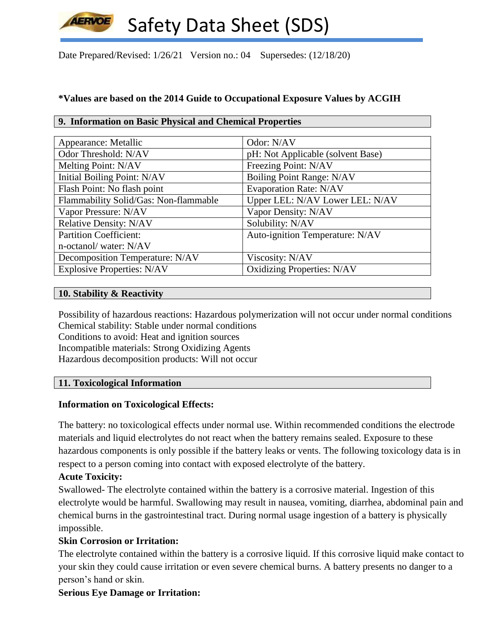Date Prepared/Revised: 1/26/21 Version no.: 04 Supersedes: (12/18/20)

# **\*Values are based on the 2014 Guide to Occupational Exposure Values by ACGIH**

## **9. Information on Basic Physical and Chemical Properties**

| Appearance: Metallic                  | Odor: N/AV                        |
|---------------------------------------|-----------------------------------|
| Odor Threshold: N/AV                  | pH: Not Applicable (solvent Base) |
| Melting Point: N/AV                   | Freezing Point: N/AV              |
| Initial Boiling Point: N/AV           | Boiling Point Range: N/AV         |
| Flash Point: No flash point           | <b>Evaporation Rate: N/AV</b>     |
| Flammability Solid/Gas: Non-flammable | Upper LEL: N/AV Lower LEL: N/AV   |
| Vapor Pressure: N/AV                  | Vapor Density: N/AV               |
| Relative Density: N/AV                | Solubility: N/AV                  |
| <b>Partition Coefficient:</b>         | Auto-ignition Temperature: N/AV   |
| n-octanol/water: N/AV                 |                                   |
| Decomposition Temperature: N/AV       | Viscosity: N/AV                   |
| <b>Explosive Properties: N/AV</b>     | <b>Oxidizing Properties: N/AV</b> |

## **10. Stability & Reactivity**

Possibility of hazardous reactions: Hazardous polymerization will not occur under normal conditions Chemical stability: Stable under normal conditions

Conditions to avoid: Heat and ignition sources Incompatible materials: Strong Oxidizing Agents Hazardous decomposition products: Will not occur

# **11. Toxicological Information**

# **Information on Toxicological Effects:**

The battery: no toxicological effects under normal use. Within recommended conditions the electrode materials and liquid electrolytes do not react when the battery remains sealed. Exposure to these hazardous components is only possible if the battery leaks or vents. The following toxicology data is in respect to a person coming into contact with exposed electrolyte of the battery.

# **Acute Toxicity:**

Swallowed- The electrolyte contained within the battery is a corrosive material. Ingestion of this electrolyte would be harmful. Swallowing may result in nausea, vomiting, diarrhea, abdominal pain and chemical burns in the gastrointestinal tract. During normal usage ingestion of a battery is physically impossible.

# **Skin Corrosion or Irritation:**

The electrolyte contained within the battery is a corrosive liquid. If this corrosive liquid make contact to your skin they could cause irritation or even severe chemical burns. A battery presents no danger to a person's hand or skin.

# **Serious Eye Damage or Irritation:**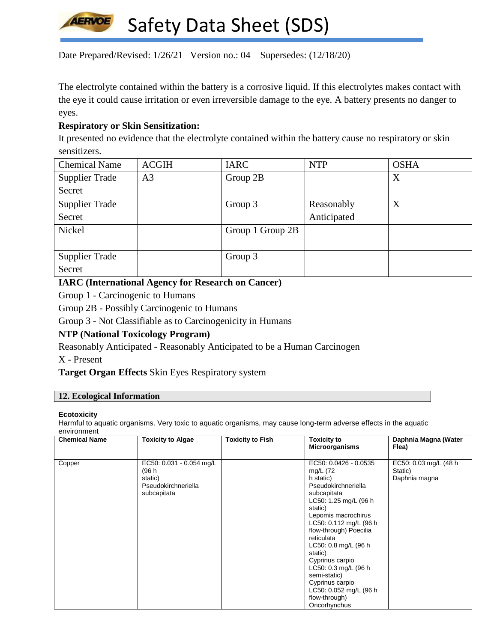

Date Prepared/Revised: 1/26/21 Version no.: 04 Supersedes: (12/18/20)

The electrolyte contained within the battery is a corrosive liquid. If this electrolytes makes contact with the eye it could cause irritation or even irreversible damage to the eye. A battery presents no danger to eyes.

## **Respiratory or Skin Sensitization:**

It presented no evidence that the electrolyte contained within the battery cause no respiratory or skin sensitizers.

| <b>Chemical Name</b>  | <b>ACGIH</b>   | <b>IARC</b>      | <b>NTP</b>  | <b>OSHA</b> |
|-----------------------|----------------|------------------|-------------|-------------|
| <b>Supplier Trade</b> | A <sub>3</sub> | Group 2B         |             | X           |
| Secret                |                |                  |             |             |
| <b>Supplier Trade</b> |                | Group 3          | Reasonably  | X           |
| Secret                |                |                  | Anticipated |             |
| Nickel                |                | Group 1 Group 2B |             |             |
|                       |                |                  |             |             |
| <b>Supplier Trade</b> |                | Group 3          |             |             |
| Secret                |                |                  |             |             |

## **IARC (International Agency for Research on Cancer)**

Group 1 - Carcinogenic to Humans

Group 2B - Possibly Carcinogenic to Humans

Group 3 - Not Classifiable as to Carcinogenicity in Humans

# **NTP (National Toxicology Program)**

Reasonably Anticipated - Reasonably Anticipated to be a Human Carcinogen

X - Present

**Target Organ Effects** Skin Eyes Respiratory system

#### **12. Ecological Information**

#### **Ecotoxicity**

Harmful to aquatic organisms. Very toxic to aquatic organisms, may cause long-term adverse effects in the aquatic environment

| <b>Chemical Name</b> | <b>Toxicity to Algae</b>                                                           | <b>Toxicity to Fish</b> | <b>Toxicity to</b><br><b>Microorganisms</b>                                                                                                                                                                                                                                                                                                                                                       | Daphnia Magna (Water<br>Flea)                      |
|----------------------|------------------------------------------------------------------------------------|-------------------------|---------------------------------------------------------------------------------------------------------------------------------------------------------------------------------------------------------------------------------------------------------------------------------------------------------------------------------------------------------------------------------------------------|----------------------------------------------------|
| Copper               | EC50: 0.031 - 0.054 mg/L<br>(96 h<br>static)<br>Pseudokirchneriella<br>subcapitata |                         | EC50: 0.0426 - 0.0535<br>mg/L (72<br>h static)<br>Pseudokirchneriella<br>subcapitata<br>LC50: 1.25 mg/L (96 h)<br>static)<br>Lepomis macrochirus<br>LC50: 0.112 mg/L (96 h)<br>flow-through) Poecilia<br>reticulata<br>LC50: 0.8 mg/L (96 h<br>static)<br>Cyprinus carpio<br>LC50: 0.3 mg/L (96 h)<br>semi-static)<br>Cyprinus carpio<br>LC50: 0.052 mg/L (96 h)<br>flow-through)<br>Oncorhynchus | EC50: 0.03 mg/L (48 h)<br>Static)<br>Daphnia magna |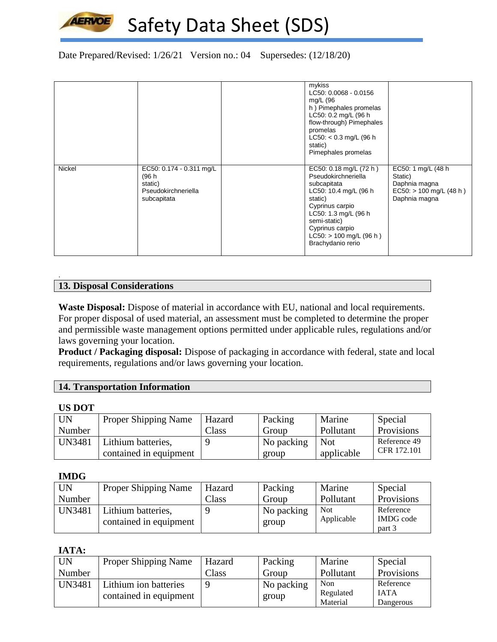

# Date Prepared/Revised: 1/26/21 Version no.: 04 Supersedes: (12/18/20)

|        |                                                                                    | mykiss<br>LC50: 0.0068 - 0.0156<br>mg/L (96<br>h) Pimephales promelas<br>LC50: 0.2 mg/L (96 h<br>flow-through) Pimephales<br>promelas<br>$LC50: < 0.3$ mg/L (96 h)<br>static)<br>Pimephales promelas                                       |                                                                                               |
|--------|------------------------------------------------------------------------------------|--------------------------------------------------------------------------------------------------------------------------------------------------------------------------------------------------------------------------------------------|-----------------------------------------------------------------------------------------------|
| Nickel | EC50: 0.174 - 0.311 mg/L<br>(96 h<br>static)<br>Pseudokirchneriella<br>subcapitata | EC50: $0.18 \text{ mg/L}$ (72 h)<br>Pseudokirchneriella<br>subcapitata<br>LC50: 10.4 mg/L (96 h<br>static)<br>Cyprinus carpio<br>LC50: 1.3 mg/L (96 h<br>semi-static)<br>Cyprinus carpio<br>$LC50:$ > 100 mg/L (96 h)<br>Brachydanio rerio | EC50: 1 mg/L (48 h)<br>Static)<br>Daphnia magna<br>$EC50:$ > 100 mg/L (48 h)<br>Daphnia magna |

## **13. Disposal Considerations**

**Waste Disposal:** Dispose of material in accordance with EU, national and local requirements. For proper disposal of used material, an assessment must be completed to determine the proper and permissible waste management options permitted under applicable rules, regulations and/or laws governing your location.

**Product / Packaging disposal:** Dispose of packaging in accordance with federal, state and local requirements, regulations and/or laws governing your location.

| <b>14. Transportation Information</b> |  |
|---------------------------------------|--|
|                                       |  |

#### **US DOT**

.

| <b>UN</b>     | <b>Proper Shipping Name</b> | Hazard | Packing    | Marine     | Special      |
|---------------|-----------------------------|--------|------------|------------|--------------|
| Number        |                             | Class  | Group      | Pollutant  | Provisions   |
| <b>UN3481</b> | Lithium batteries,          |        | No packing | <b>Not</b> | Reference 49 |
|               | contained in equipment      |        | group      | applicable | CFR 172.101  |

#### **IMDG**

| <b>UN</b>     | <b>Proper Shipping Name</b> | Hazard         | Packing    | Marine     | Special          |
|---------------|-----------------------------|----------------|------------|------------|------------------|
| Number        |                             | $\text{Class}$ | Group      | Pollutant  | Provisions       |
| <b>UN3481</b> | Lithium batteries,          |                | No packing | <b>Not</b> | Reference        |
|               | contained in equipment      |                | group      | Applicable | <b>IMDG</b> code |
|               |                             |                |            |            | part 3           |

#### **IATA:**

| <b>UN</b> | <b>Proper Shipping Name</b> | Hazard | Packing    | Marine    | Special     |
|-----------|-----------------------------|--------|------------|-----------|-------------|
| Number    |                             | Class  | Group      | Pollutant | Provisions  |
| UN3481    | Lithium ion batteries       |        | No packing | Non       | Reference   |
|           | contained in equipment      |        | group      | Regulated | <b>IATA</b> |
|           |                             |        | Material   | Dangerous |             |